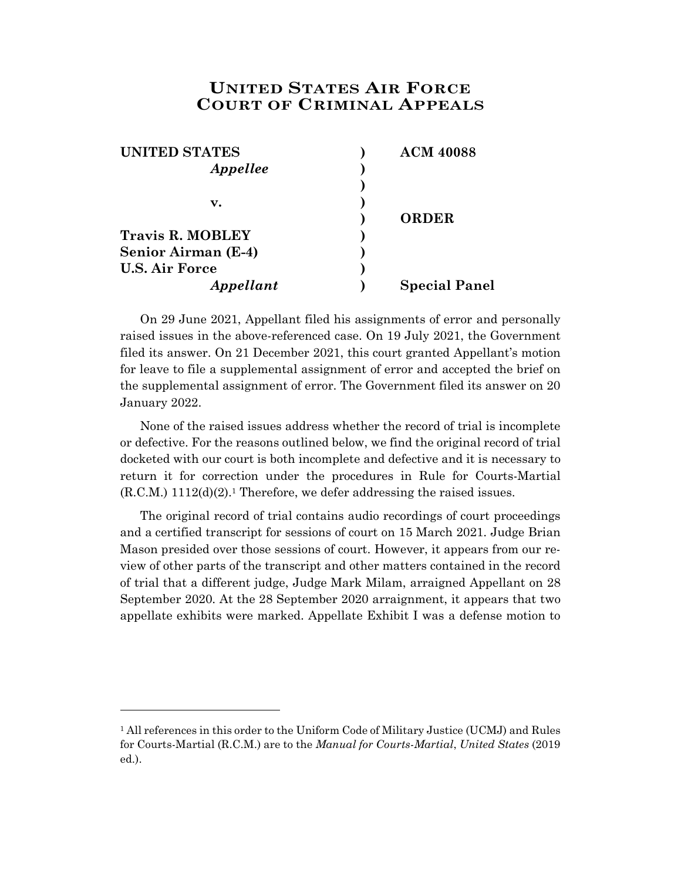## **UNITED STATES AIR FORCE COURT OF CRIMINAL APPEALS**

| <b>UNITED STATES</b>       | <b>ACM 40088</b>     |
|----------------------------|----------------------|
| Appellee                   |                      |
|                            |                      |
| v.                         |                      |
|                            | <b>ORDER</b>         |
| <b>Travis R. MOBLEY</b>    |                      |
| <b>Senior Airman (E-4)</b> |                      |
| <b>U.S. Air Force</b>      |                      |
| Appellant                  | <b>Special Panel</b> |

On 29 June 2021, Appellant filed his assignments of error and personally raised issues in the above-referenced case. On 19 July 2021, the Government filed its answer. On 21 December 2021, this court granted Appellant's motion for leave to file a supplemental assignment of error and accepted the brief on the supplemental assignment of error. The Government filed its answer on 20 January 2022.

None of the raised issues address whether the record of trial is incomplete or defective. For the reasons outlined below, we find the original record of trial docketed with our court is both incomplete and defective and it is necessary to return it for correction under the procedures in Rule for Courts-Martial (R.C.M.) 1112(d)(2). <sup>1</sup> Therefore, we defer addressing the raised issues.

The original record of trial contains audio recordings of court proceedings and a certified transcript for sessions of court on 15 March 2021. Judge Brian Mason presided over those sessions of court. However, it appears from our review of other parts of the transcript and other matters contained in the record of trial that a different judge, Judge Mark Milam, arraigned Appellant on 28 September 2020. At the 28 September 2020 arraignment, it appears that two appellate exhibits were marked. Appellate Exhibit I was a defense motion to

l

<sup>1</sup> All references in this order to the Uniform Code of Military Justice (UCMJ) and Rules for Courts-Martial (R.C.M.) are to the *Manual for Courts-Martial*, *United States* (2019 ed.).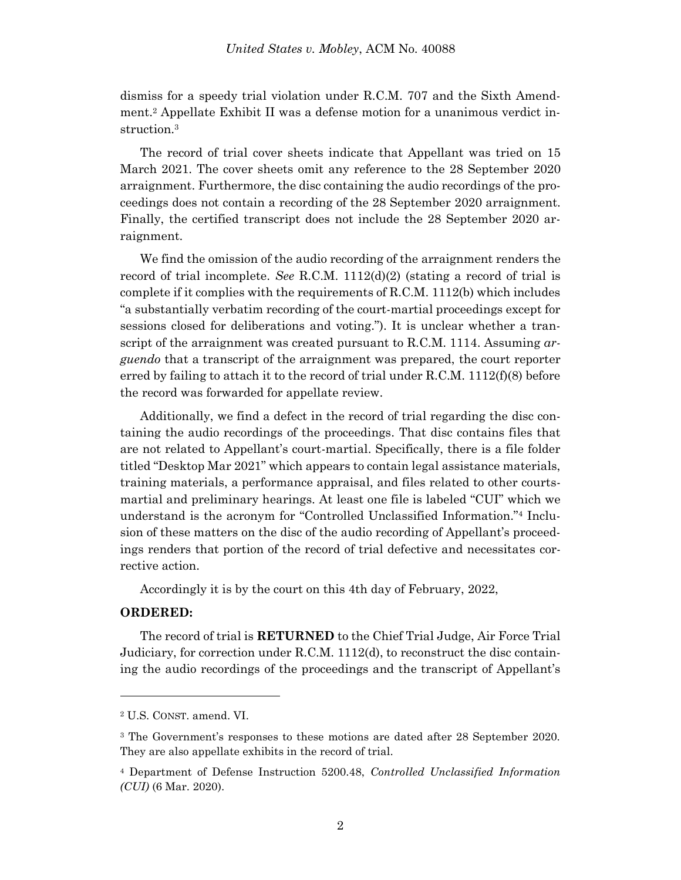dismiss for a speedy trial violation under R.C.M. 707 and the Sixth Amendment.<sup>2</sup> Appellate Exhibit II was a defense motion for a unanimous verdict instruction.<sup>3</sup>

The record of trial cover sheets indicate that Appellant was tried on 15 March 2021. The cover sheets omit any reference to the 28 September 2020 arraignment. Furthermore, the disc containing the audio recordings of the proceedings does not contain a recording of the 28 September 2020 arraignment. Finally, the certified transcript does not include the 28 September 2020 arraignment.

We find the omission of the audio recording of the arraignment renders the record of trial incomplete. *See* R.C.M. 1112(d)(2) (stating a record of trial is complete if it complies with the requirements of R.C.M. 1112(b) which includes "a substantially verbatim recording of the court-martial proceedings except for sessions closed for deliberations and voting."). It is unclear whether a transcript of the arraignment was created pursuant to R.C.M. 1114. Assuming *arguendo* that a transcript of the arraignment was prepared, the court reporter erred by failing to attach it to the record of trial under R.C.M. 1112(f)(8) before the record was forwarded for appellate review.

Additionally, we find a defect in the record of trial regarding the disc containing the audio recordings of the proceedings. That disc contains files that are not related to Appellant's court-martial. Specifically, there is a file folder titled "Desktop Mar 2021" which appears to contain legal assistance materials, training materials, a performance appraisal, and files related to other courtsmartial and preliminary hearings. At least one file is labeled "CUI" which we understand is the acronym for "Controlled Unclassified Information."<sup>4</sup> Inclusion of these matters on the disc of the audio recording of Appellant's proceedings renders that portion of the record of trial defective and necessitates corrective action.

Accordingly it is by the court on this 4th day of February, 2022,

## **ORDERED:**

l

The record of trial is **RETURNED** to the Chief Trial Judge, Air Force Trial Judiciary, for correction under R.C.M. 1112(d), to reconstruct the disc containing the audio recordings of the proceedings and the transcript of Appellant's

<sup>2</sup> U.S. CONST. amend. VI.

<sup>3</sup> The Government's responses to these motions are dated after 28 September 2020. They are also appellate exhibits in the record of trial.

<sup>4</sup> Department of Defense Instruction 5200.48, *Controlled Unclassified Information (CUI)* (6 Mar. 2020).